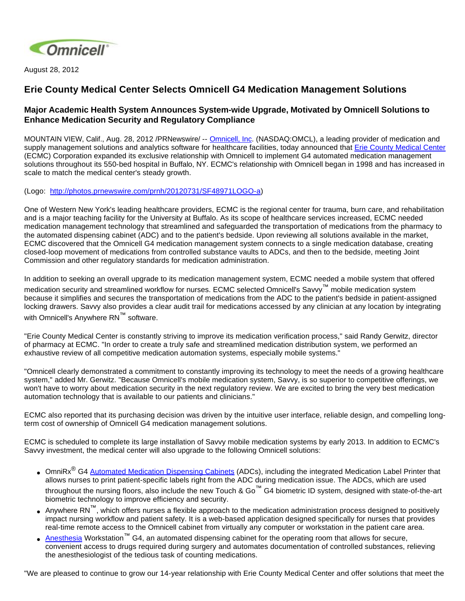

August 28, 2012

## **Erie County Medical Center Selects Omnicell G4 Medication Management Solutions**

## **Major Academic Health System Announces System-wide Upgrade, Motivated by Omnicell Solutions to Enhance Medication Security and Regulatory Compliance**

MOUNTAIN VIEW, Calif., Aug. 28, 2012 /PRNewswire/ -- [Omnicell, Inc.](http://www.omnicell.com/) (NASDAQ:OMCL), a leading provider of medication and supply management solutions and analytics software for healthcare facilities, today announced that [Erie County Medical Center](http://www.ecmc.edu/) (ECMC) Corporation expanded its exclusive relationship with Omnicell to implement G4 automated medication management solutions throughout its 550-bed hospital in Buffalo, NY. ECMC's relationship with Omnicell began in 1998 and has increased in scale to match the medical center's steady growth.

(Logo: <http://photos.prnewswire.com/prnh/20120731/SF48971LOGO-a>)

One of Western New York's leading healthcare providers, ECMC is the regional center for trauma, burn care, and rehabilitation and is a major teaching facility for the University at Buffalo. As its scope of healthcare services increased, ECMC needed medication management technology that streamlined and safeguarded the transportation of medications from the pharmacy to the automated dispensing cabinet (ADC) and to the patient's bedside. Upon reviewing all solutions available in the market, ECMC discovered that the Omnicell G4 medication management system connects to a single medication database, creating closed-loop movement of medications from controlled substance vaults to ADCs, and then to the bedside, meeting Joint Commission and other regulatory standards for medication administration.

In addition to seeking an overall upgrade to its medication management system, ECMC needed a mobile system that offered

medication security and streamlined workflow for nurses. ECMC selected Omnicell's Savvy™ mobile medication system because it simplifies and secures the transportation of medications from the ADC to the patient's bedside in patient-assigned locking drawers. Savvy also provides a clear audit trail for medications accessed by any clinician at any location by integrating with Omnicell's Anywhere RN™ software.

"Erie County Medical Center is constantly striving to improve its medication verification process," said Randy Gerwitz, director of pharmacy at ECMC. "In order to create a truly safe and streamlined medication distribution system, we performed an exhaustive review of all competitive medication automation systems, especially mobile systems."

"Omnicell clearly demonstrated a commitment to constantly improving its technology to meet the needs of a growing healthcare system," added Mr. Gerwitz. "Because Omnicell's mobile medication system, Savvy, is so superior to competitive offerings, we won't have to worry about medication security in the next regulatory review. We are excited to bring the very best medication automation technology that is available to our patients and clinicians."

ECMC also reported that its purchasing decision was driven by the intuitive user interface, reliable design, and compelling longterm cost of ownership of Omnicell G4 medication management solutions.

ECMC is scheduled to complete its large installation of Savvy mobile medication systems by early 2013. In addition to ECMC's Savvy investment, the medical center will also upgrade to the following Omnicell solutions:

- OmniRx<sup>®</sup> G4 [Automated Medication Dispensing Cabinets](http://www.omnicell.com/Products/Medication_Dispensing/Automated_Medication_Dispensing_Cabinets.aspx) (ADCs), including the integrated Medication Label Printer that allows nurses to print patient-specific labels right from the ADC during medication issue. The ADCs, which are used throughout the nursing floors, also include the new Touch & Go<sup>™</sup> G4 biometric ID system, designed with state-of-the-art biometric technology to improve efficiency and security.
- Anywhere RN<sup>™</sup>, which offers nurses a flexible approach to the medication administration process designed to positively impact nursing workflow and patient safety. It is a web-based application designed specifically for nurses that provides real-time remote access to the Omnicell cabinet from virtually any computer or workstation in the patient care area.
- [Anesthesia](http://www.omnicell.com/Products/Medication_Dispensing/Anesthesia_Workstation_G4.aspx) Workstation™ G4, an automated dispensing cabinet for the operating room that allows for secure, convenient access to drugs required during surgery and automates documentation of controlled substances, relieving the anesthesiologist of the tedious task of counting medications.

"We are pleased to continue to grow our 14-year relationship with Erie County Medical Center and offer solutions that meet the